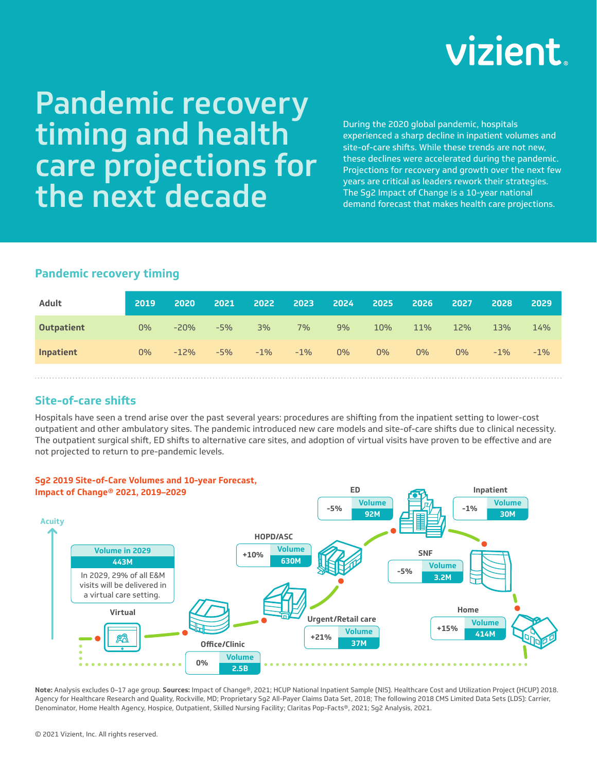# vizient

# Pandemic recovery timing and health care projections for the next decade

During the 2020 global pandemic, hospitals experienced a sharp decline in inpatient volumes and site-of-care shifts. While these trends are not new, these declines were accelerated during the pandemic. Projections for recovery and growth over the next few years are critical as leaders rework their strategies. The Sg2 Impact of Change is a 10-year national demand forecast that makes health care projections.

# **Pandemic recovery timing**

| Adult             | 2019  | 2020   | 2021  | 2022   | 2023   | 2024  | 2025  | 2026  | 2027  | 2028   | 2029   |
|-------------------|-------|--------|-------|--------|--------|-------|-------|-------|-------|--------|--------|
| <b>Outpatient</b> | $0\%$ | $-20%$ | $-5%$ | 3%     | $7\%$  | 9%    | 10%   | 11%   | 12%   | 13%    | 14%    |
| Inpatient         | $0\%$ | $-12%$ | $-5%$ | $-1\%$ | $-1\%$ | $0\%$ | $0\%$ | $0\%$ | $0\%$ | $-1\%$ | $-1\%$ |
|                   |       |        |       |        |        |       |       |       |       |        |        |

# **Site-of-care shifts**

Hospitals have seen a trend arise over the past several years: procedures are shifting from the inpatient setting to lower-cost outpatient and other ambulatory sites. The pandemic introduced new care models and site-of-care shifts due to clinical necessity. The outpatient surgical shift, ED shifts to alternative care sites, and adoption of virtual visits have proven to be effective and are not projected to return to pre-pandemic levels.



**Note:** Analysis excludes 0–17 age group. **Sources:** Impact of Change®, 2021; HCUP National Inpatient Sample (NIS). Healthcare Cost and Utilization Project (HCUP) 2018. Agency for Healthcare Research and Quality, Rockville, MD; Proprietary Sg2 All-Payer Claims Data Set, 2018; The following 2018 CMS Limited Data Sets (LDS): Carrier, Denominator, Home Health Agency, Hospice, Outpatient, Skilled Nursing Facility; Claritas Pop-Facts®, 2021; Sg2 Analysis, 2021.